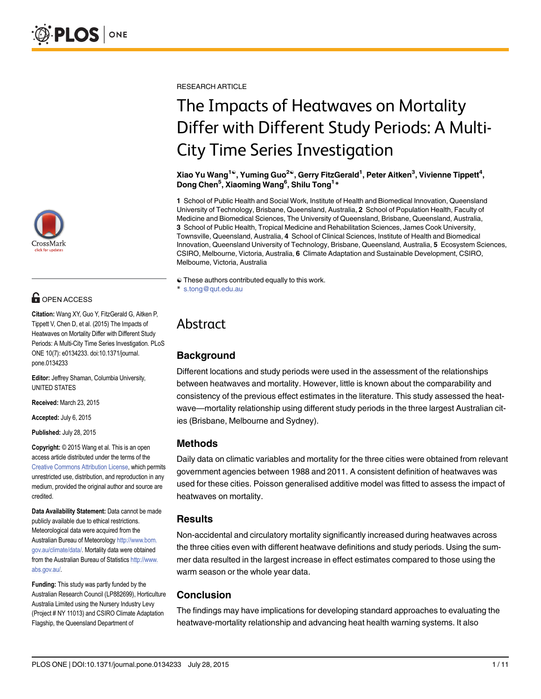

# $\blacksquare$  OPEN ACCESS

Citation: Wang XY, Guo Y, FitzGerald G, Aitken P, Tippett V, Chen D, et al. (2015) The Impacts of Heatwaves on Mortality Differ with Different Study Periods: A Multi-City Time Series Investigation. PLoS ONE 10(7): e0134233. doi:10.1371/journal. pone.0134233

Editor: Jeffrey Shaman, Columbia University, UNITED STATES

Received: March 23, 2015

Accepted: July 6, 2015

Published: July 28, 2015

Copyright: © 2015 Wang et al. This is an open access article distributed under the terms of the [Creative Commons Attribution License,](http://creativecommons.org/licenses/by/4.0/) which permits unrestricted use, distribution, and reproduction in any medium, provided the original author and source are credited.

Data Availability Statement: Data cannot be made publicly available due to ethical restrictions. Meteorological data were acquired from the Australian Bureau of Meteorology [http://www.bom.](http://www.bom.gov.au/climate/data/) [gov.au/climate/data/.](http://www.bom.gov.au/climate/data/) Mortality data were obtained from the Australian Bureau of Statistics [http://www.](http://www.abs.gov.au/) [abs.gov.au/](http://www.abs.gov.au/).

Funding: This study was partly funded by the Australian Research Council (LP882699), Horticulture Australia Limited using the Nursery Industry Levy (Project # NY 11013) and CSIRO Climate Adaptation Flagship, the Queensland Department of

RESEARCH ARTICLE

# The Impacts of Heatwaves on Mortality Differ with Different Study Periods: A Multi-City Time Series Investigation

Xiao Yu Wang $^{1\circ}$ , Yuming Guo $^{2\circ}$ , Gerry FitzGerald $^1$ , Peter Aitken $^3$ , Vivienne Tippett $^4$ , Dong Chen<sup>5</sup>, Xiaoming Wang<sup>6</sup>, Shilu Tong<sup>1\*</sup>

1 School of Public Health and Social Work, Institute of Health and Biomedical Innovation, Queensland University of Technology, Brisbane, Queensland, Australia, 2 School of Population Health, Faculty of Medicine and Biomedical Sciences, The University of Queensland, Brisbane, Queensland, Australia, 3 School of Public Health, Tropical Medicine and Rehabilitation Sciences, James Cook University, Townsville, Queensland, Australia, 4 School of Clinical Sciences, Institute of Health and Biomedical Innovation, Queensland University of Technology, Brisbane, Queensland, Australia, 5 Ecosystem Sciences, CSIRO, Melbourne, Victoria, Australia, 6 Climate Adaptation and Sustainable Development, CSIRO, Melbourne, Victoria, Australia

☯ These authors contributed equally to this work. \* s.tong@qut.edu.au

# Abstract

# Background

Different locations and study periods were used in the assessment of the relationships between heatwaves and mortality. However, little is known about the comparability and consistency of the previous effect estimates in the literature. This study assessed the heatwave—mortality relationship using different study periods in the three largest Australian cities (Brisbane, Melbourne and Sydney).

# Methods

Daily data on climatic variables and mortality for the three cities were obtained from relevant government agencies between 1988 and 2011. A consistent definition of heatwaves was used for these cities. Poisson generalised additive model was fitted to assess the impact of heatwaves on mortality.

### **Results**

Non-accidental and circulatory mortality significantly increased during heatwaves across the three cities even with different heatwave definitions and study periods. Using the summer data resulted in the largest increase in effect estimates compared to those using the warm season or the whole year data.

# Conclusion

The findings may have implications for developing standard approaches to evaluating the heatwave-mortality relationship and advancing heat health warning systems. It also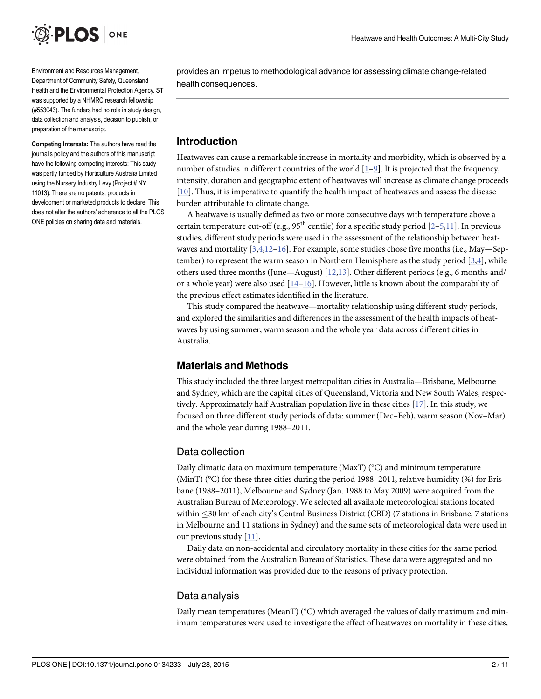<span id="page-1-0"></span>

Environment and Resources Management, Department of Community Safety, Queensland Health and the Environmental Protection Agency. ST was supported by a NHMRC research fellowship (#553043). The funders had no role in study design, data collection and analysis, decision to publish, or preparation of the manuscript.

Competing Interests: The authors have read the journal's policy and the authors of this manuscript have the following competing interests: This study was partly funded by Horticulture Australia Limited using the Nursery Industry Levy (Project # NY 11013). There are no patents, products in development or marketed products to declare. This does not alter the authors' adherence to all the PLOS ONE policies on sharing data and materials.

provides an impetus to methodological advance for assessing climate change-related health consequences.

#### Introduction

Heatwaves can cause a remarkable increase in mortality and morbidity, which is observed by a number of studies in different countries of the world  $[1-9]$  $[1-9]$  $[1-9]$  $[1-9]$ . It is projected that the frequency, intensity, duration and geographic extent of heatwaves will increase as climate change proceeds [\[10](#page-9-0)]. Thus, it is imperative to quantify the health impact of heatwaves and assess the disease burden attributable to climate change.

A heatwave is usually defined as two or more consecutive days with temperature above a certain temperature cut-off (e.g.,  $95<sup>th</sup>$  $95<sup>th</sup>$  $95<sup>th</sup>$  centile) for a specific study period [[2](#page-9-0)-5,[11](#page-9-0)]. In previous studies, different study periods were used in the assessment of the relationship between heatwaves and mortality  $[3,4,12-16]$  $[3,4,12-16]$  $[3,4,12-16]$  $[3,4,12-16]$  $[3,4,12-16]$  $[3,4,12-16]$  $[3,4,12-16]$  $[3,4,12-16]$ . For example, some studies chose five months (i.e., May—September) to represent the warm season in Northern Hemisphere as the study period  $[3,4]$  $[3,4]$ , while others used three months (June—August)  $[12,13]$  $[12,13]$ . Other different periods (e.g., 6 months and/ or a whole year) were also used  $[14-16]$  $[14-16]$  $[14-16]$ . However, little is known about the comparability of the previous effect estimates identified in the literature.

This study compared the heatwave—mortality relationship using different study periods, and explored the similarities and differences in the assessment of the health impacts of heatwaves by using summer, warm season and the whole year data across different cities in Australia.

#### Materials and Methods

This study included the three largest metropolitan cities in Australia—Brisbane, Melbourne and Sydney, which are the capital cities of Queensland, Victoria and New South Wales, respectively. Approximately half Australian population live in these cities [[17](#page-9-0)]. In this study, we focused on three different study periods of data: summer (Dec–Feb), warm season (Nov–Mar) and the whole year during 1988–2011.

#### Data collection

Daily climatic data on maximum temperature (MaxT) (°C) and minimum temperature (MinT) (°C) for these three cities during the period 1988–2011, relative humidity (%) for Brisbane (1988–2011), Melbourne and Sydney (Jan. 1988 to May 2009) were acquired from the Australian Bureau of Meteorology. We selected all available meteorological stations located within 30 km of each city's Central Business District (CBD) (7 stations in Brisbane, 7 stations in Melbourne and 11 stations in Sydney) and the same sets of meteorological data were used in our previous study [[11](#page-9-0)].

Daily data on non-accidental and circulatory mortality in these cities for the same period were obtained from the Australian Bureau of Statistics. These data were aggregated and no individual information was provided due to the reasons of privacy protection.

### Data analysis

Daily mean temperatures (MeanT) (°C) which averaged the values of daily maximum and minimum temperatures were used to investigate the effect of heatwaves on mortality in these cities,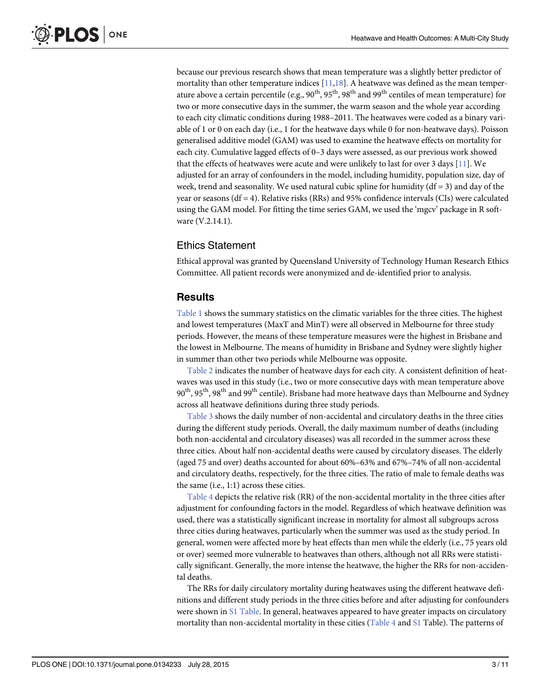<span id="page-2-0"></span>because our previous research shows that mean temperature was a slightly better predictor of mortality than other temperature indices  $[11,18]$  $[11,18]$ . A heatwave was defined as the mean temperature above a certain percentile (e.g., 90<sup>th</sup>, 95<sup>th</sup>, 98<sup>th</sup> and 99<sup>th</sup> centiles of mean temperature) for two or more consecutive days in the summer, the warm season and the whole year according to each city climatic conditions during 1988–2011. The heatwaves were coded as a binary variable of 1 or 0 on each day (i.e., 1 for the heatwave days while 0 for non-heatwave days). Poisson generalised additive model (GAM) was used to examine the heatwave effects on mortality for each city. Cumulative lagged effects of 0–3 days were assessed, as our previous work showed that the effects of heatwaves were acute and were unlikely to last for over 3 days  $[11]$  $[11]$  $[11]$ . We adjusted for an array of confounders in the model, including humidity, population size, day of week, trend and seasonality. We used natural cubic spline for humidity  $(df = 3)$  and day of the year or seasons ( $df = 4$ ). Relative risks (RRs) and 95% confidence intervals (CIs) were calculated using the GAM model. For fitting the time series GAM, we used the 'mgcv' package in R software (V.2.14.1).

## Ethics Statement

Ethical approval was granted by Queensland University of Technology Human Research Ethics Committee. All patient records were anonymized and de-identified prior to analysis.

### Results

[Table 1](#page-3-0) shows the summary statistics on the climatic variables for the three cities. The highest and lowest temperatures (MaxT and MinT) were all observed in Melbourne for three study periods. However, the means of these temperature measures were the highest in Brisbane and the lowest in Melbourne. The means of humidity in Brisbane and Sydney were slightly higher in summer than other two periods while Melbourne was opposite.

[Table 2](#page-3-0) indicates the number of heatwave days for each city. A consistent definition of heatwaves was used in this study (i.e., two or more consecutive days with mean temperature above  $90<sup>th</sup>$ ,  $95<sup>th</sup>$ ,  $98<sup>th</sup>$  and  $99<sup>th</sup>$  centile). Brisbane had more heatwave days than Melbourne and Sydney across all heatwave definitions during three study periods.

[Table 3](#page-4-0) shows the daily number of non-accidental and circulatory deaths in the three cities during the different study periods. Overall, the daily maximum number of deaths (including both non-accidental and circulatory diseases) was all recorded in the summer across these three cities. About half non-accidental deaths were caused by circulatory diseases. The elderly (aged 75 and over) deaths accounted for about 60%–63% and 67%–74% of all non-accidental and circulatory deaths, respectively, for the three cities. The ratio of male to female deaths was the same (i.e., 1:1) across these cities.

[Table 4](#page-5-0) depicts the relative risk (RR) of the non-accidental mortality in the three cities after adjustment for confounding factors in the model. Regardless of which heatwave definition was used, there was a statistically significant increase in mortality for almost all subgroups across three cities during heatwaves, particularly when the summer was used as the study period. In general, women were affected more by heat effects than men while the elderly (i.e., 75 years old or over) seemed more vulnerable to heatwaves than others, although not all RRs were statistically significant. Generally, the more intense the heatwave, the higher the RRs for non-accidental deaths.

The RRs for daily circulatory mortality during heatwaves using the different heatwave definitions and different study periods in the three cities before and after adjusting for confounders were shown in [S1 Table](#page-8-0). In general, heatwaves appeared to have greater impacts on circulatory mortality than non-accidental mortality in these cities ( $Table 4$  and  $SL$  Table). The patterns of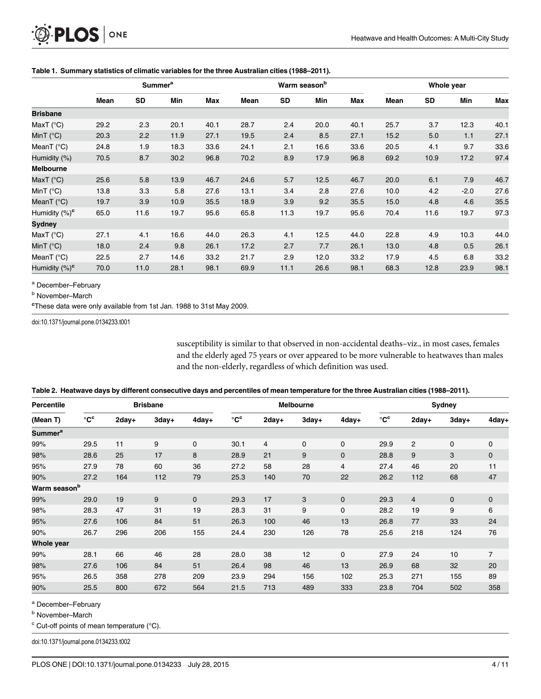<span id="page-3-0"></span>

|                     | <b>Summer<sup>a</sup></b> |           |      | Warm season <sup>b</sup> |      |      | Whole year |            |      |           |        |            |
|---------------------|---------------------------|-----------|------|--------------------------|------|------|------------|------------|------|-----------|--------|------------|
|                     | Mean                      | <b>SD</b> | Min  | <b>Max</b>               | Mean | SD   | Min        | <b>Max</b> | Mean | <b>SD</b> | Min    | <b>Max</b> |
| <b>Brisbane</b>     |                           |           |      |                          |      |      |            |            |      |           |        |            |
| MaxT $(^{\circ}C)$  | 29.2                      | 2.3       | 20.1 | 40.1                     | 28.7 | 2.4  | 20.0       | 40.1       | 25.7 | 3.7       | 12.3   | 40.1       |
| MinT $(^{\circ}C)$  | 20.3                      | 2.2       | 11.9 | 27.1                     | 19.5 | 2.4  | 8.5        | 27.1       | 15.2 | 5.0       | 1.1    | 27.1       |
| MeanT $(^{\circ}C)$ | 24.8                      | 1.9       | 18.3 | 33.6                     | 24.1 | 2.1  | 16.6       | 33.6       | 20.5 | 4.1       | 9.7    | 33.6       |
| Humidity (%)        | 70.5                      | 8.7       | 30.2 | 96.8                     | 70.2 | 8.9  | 17.9       | 96.8       | 69.2 | 10.9      | 17.2   | 97.4       |
| <b>Melbourne</b>    |                           |           |      |                          |      |      |            |            |      |           |        |            |
| MaxT $(^{\circ}C)$  | 25.6                      | 5.8       | 13.9 | 46.7                     | 24.6 | 5.7  | 12.5       | 46.7       | 20.0 | 6.1       | 7.9    | 46.7       |
| MinT $(^{\circ}C)$  | 13.8                      | 3.3       | 5.8  | 27.6                     | 13.1 | 3.4  | 2.8        | 27.6       | 10.0 | 4.2       | $-2.0$ | 27.6       |
| MeanT $(^{\circ}C)$ | 19.7                      | 3.9       | 10.9 | 35.5                     | 18.9 | 3.9  | 9.2        | 35.5       | 15.0 | 4.8       | 4.6    | 35.5       |
| Humidity $(\%)^c$   | 65.0                      | 11.6      | 19.7 | 95.6                     | 65.8 | 11.3 | 19.7       | 95.6       | 70.4 | 11.6      | 19.7   | 97.3       |
| Sydney              |                           |           |      |                          |      |      |            |            |      |           |        |            |
| MaxT $(^{\circ}C)$  | 27.1                      | 4.1       | 16.6 | 44.0                     | 26.3 | 4.1  | 12.5       | 44.0       | 22.8 | 4.9       | 10.3   | 44.0       |
| MinT $(^{\circ}C)$  | 18.0                      | 2.4       | 9.8  | 26.1                     | 17.2 | 2.7  | 7.7        | 26.1       | 13.0 | 4.8       | 0.5    | 26.1       |
| MeanT (°C)          | 22.5                      | 2.7       | 14.6 | 33.2                     | 21.7 | 2.9  | 12.0       | 33.2       | 17.9 | 4.5       | 6.8    | 33.2       |
| Humidity $(\%)^c$   | 70.0                      | 11.0      | 28.1 | 98.1                     | 69.9 | 11.1 | 26.6       | 98.1       | 68.3 | 12.8      | 23.9   | 98.1       |

#### [Table 1.](#page-2-0) Summary statistics of climatic variables for the three Australian cities (1988–2011).

<sup>a</sup> December–February

**b** November-March

<sup>c</sup>These data were only available from 1st Jan. 1988 to 31st May 2009.

doi:10.1371/journal.pone.0134233.t001

susceptibility is similar to that observed in non-accidental deaths–viz., in most cases, females and the elderly aged 75 years or over appeared to be more vulnerable to heatwaves than males and the non-elderly, regardless of which definition was used.

| Percentile               |                         | <b>Brisbane</b> |       |              |                         | Melbourne      |             |             | Sydney            |                |              |                |
|--------------------------|-------------------------|-----------------|-------|--------------|-------------------------|----------------|-------------|-------------|-------------------|----------------|--------------|----------------|
| (Mean T)                 | $\rm ^{\circ}C^{\circ}$ | $2day+$         | 3day+ | 4day+        | $\rm ^{\circ}C^{\circ}$ | 2day+          | 3day+       | $4day+$     | $\rm ^{\circ}C^c$ | 2day+          | 3day+        | 4day+          |
| Summer <sup>a</sup>      |                         |                 |       |              |                         |                |             |             |                   |                |              |                |
| 99%                      | 29.5                    | 11              | 9     | $\mathbf 0$  | 30.1                    | $\overline{4}$ | $\mathbf 0$ | $\mathbf 0$ | 29.9              | 2              | $\mathbf 0$  | 0              |
| 98%                      | 28.6                    | 25              | 17    | 8            | 28.9                    | 21             | 9           | $\mathbf 0$ | 28.8              | 9              | 3            | $\mathbf 0$    |
| 95%                      | 27.9                    | 78              | 60    | 36           | 27.2                    | 58             | 28          | 4           | 27.4              | 46             | 20           | 11             |
| 90%                      | 27.2                    | 164             | 112   | 79           | 25.3                    | 140            | 70          | 22          | 26.2              | 112            | 68           | 47             |
| Warm season <sup>b</sup> |                         |                 |       |              |                         |                |             |             |                   |                |              |                |
| 99%                      | 29.0                    | 19              | 9     | $\mathbf{0}$ | 29.3                    | 17             | 3           | $\mathbf 0$ | 29.3              | $\overline{4}$ | $\mathbf{0}$ | $\mathbf 0$    |
| 98%                      | 28.3                    | 47              | 31    | 19           | 28.3                    | 31             | 9           | 0           | 28.2              | 19             | 9            | 6              |
| 95%                      | 27.6                    | 106             | 84    | 51           | 26.3                    | 100            | 46          | 13          | 26.8              | 77             | 33           | 24             |
| 90%                      | 26.7                    | 296             | 206   | 155          | 24.4                    | 230            | 126         | 78          | 25.6              | 218            | 124          | 76             |
| Whole year               |                         |                 |       |              |                         |                |             |             |                   |                |              |                |
| 99%                      | 28.1                    | 66              | 46    | 28           | 28.0                    | 38             | 12          | 0           | 27.9              | 24             | 10           | $\overline{7}$ |
| 98%                      | 27.6                    | 106             | 84    | 51           | 26.4                    | 98             | 46          | 13          | 26.9              | 68             | 32           | 20             |
| 95%                      | 26.5                    | 358             | 278   | 209          | 23.9                    | 294            | 156         | 102         | 25.3              | 271            | 155          | 89             |
| 90%                      | 25.5                    | 800             | 672   | 564          | 21.5                    | 713            | 489         | 333         | 23.8              | 704            | 502          | 358            |

|  |  |  | Table 2. Heatwave days by different consecutive days and percentiles of mean temperature for the three Australian cities (1988-2011). |  |
|--|--|--|---------------------------------------------------------------------------------------------------------------------------------------|--|
|--|--|--|---------------------------------------------------------------------------------------------------------------------------------------|--|

<sup>a</sup> December–February

**b** November-March

 $\textdegree$  Cut-off points of mean temperature ( $\textdegree$ C).

doi:10.1371/journal.pone.0134233.t002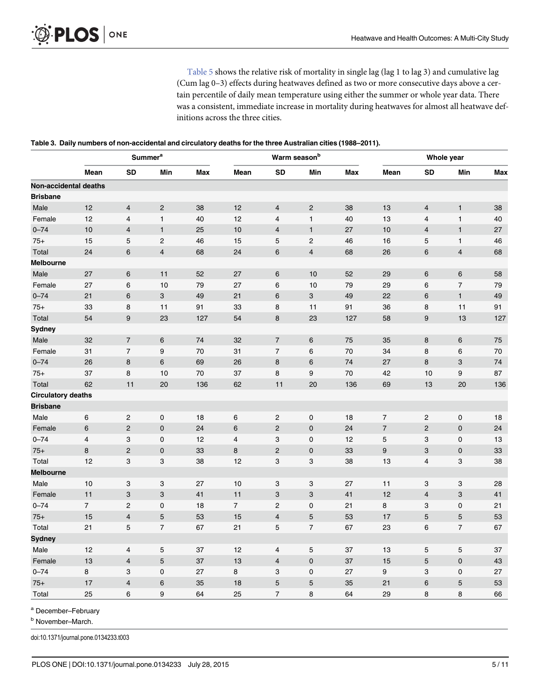[Table 5](#page-7-0) shows the relative risk of mortality in single lag (lag 1 to lag 3) and cumulative lag (Cum lag 0–3) effects during heatwaves defined as two or more consecutive days above a certain percentile of daily mean temperature using either the summer or whole year data. There was a consistent, immediate increase in mortality during heatwaves for almost all heatwave definitions across the three cities.

<span id="page-4-0"></span>[Table 3.](#page-2-0) Daily numbers of non-accidental and circulatory deaths for the three Australian cities (1988–2011).

|                           | <b>Summer<sup>a</sup></b> |                           |                           | Warm season <sup>b</sup> |                |                         | Whole year                |            |                          |                         |                           |            |
|---------------------------|---------------------------|---------------------------|---------------------------|--------------------------|----------------|-------------------------|---------------------------|------------|--------------------------|-------------------------|---------------------------|------------|
|                           | Mean                      | <b>SD</b>                 | Min                       | <b>Max</b>               | Mean           | SD                      | Min                       | <b>Max</b> | Mean                     | <b>SD</b>               | Min                       | <b>Max</b> |
| Non-accidental deaths     |                           |                           |                           |                          |                |                         |                           |            |                          |                         |                           |            |
| <b>Brisbane</b>           |                           |                           |                           |                          |                |                         |                           |            |                          |                         |                           |            |
| Male                      | 12                        | $\overline{4}$            | $\sqrt{2}$                | 38                       | 12             | $\overline{4}$          | $\overline{c}$            | 38         | 13                       | 4                       | $\mathbf{1}$              | 38         |
| Female                    | 12                        | $\overline{\mathbf{4}}$   | $\mathbf{1}$              | 40                       | 12             | 4                       | $\mathbf{1}$              | $40\,$     | 13                       | 4                       | $\mathbf{1}$              | 40         |
| $0 - 74$                  | 10                        | $\overline{\mathbf{4}}$   | $\mathbf{1}$              | 25                       | 10             | $\overline{\mathbf{4}}$ | $\mathbf{1}$              | 27         | 10                       | 4                       | $\mathbf{1}$              | 27         |
| $75+$                     | 15                        | $\mathbf 5$               | $\mathbf 2$               | 46                       | 15             | 5                       | $\mathbf 2$               | 46         | 16                       | 5                       | $\mathbf{1}$              | 46         |
| Total                     | 24                        | $\,6$                     | $\overline{\mathbf{4}}$   | 68                       | 24             | 6                       | $\overline{\mathbf{4}}$   | 68         | 26                       | 6                       | $\overline{\mathbf{4}}$   | 68         |
| <b>Melbourne</b>          |                           |                           |                           |                          |                |                         |                           |            |                          |                         |                           |            |
| Male                      | 27                        | $\,$ 6 $\,$               | 11                        | 52                       | 27             | 6                       | 10                        | 52         | 29                       | 6                       | $\,6$                     | 58         |
| Female                    | 27                        | 6                         | 10                        | 79                       | 27             | 6                       | 10                        | 79         | 29                       | 6                       | $\overline{7}$            | 79         |
| $0 - 74$                  | 21                        | $6\phantom{1}$            | 3                         | 49                       | 21             | 6                       | 3                         | 49         | 22                       | 6                       | $\mathbf{1}$              | 49         |
| $75+$                     | 33                        | 8                         | 11                        | 91                       | 33             | 8                       | 11                        | 91         | 36                       | 8                       | 11                        | 91         |
| Total                     | 54                        | $\boldsymbol{9}$          | 23                        | 127                      | 54             | 8                       | 23                        | 127        | 58                       | 9                       | 13                        | 127        |
| <b>Sydney</b>             |                           |                           |                           |                          |                |                         |                           |            |                          |                         |                           |            |
| Male                      | 32                        | $\overline{7}$            | $\,6$                     | 74                       | 32             | $\sqrt{7}$              | 6                         | 75         | 35                       | 8                       | 6                         | 75         |
| Female                    | 31                        | $\overline{7}$            | 9                         | 70                       | 31             | $\overline{7}$          | 6                         | $70\,$     | 34                       | 8                       | 6                         | 70         |
| $0 - 74$                  | 26                        | 8                         | $6\phantom{1}$            | 69                       | 26             | 8                       | $6\phantom{1}$            | 74         | 27                       | 8                       | 3                         | 74         |
| $75+$                     | 37                        | 8                         | 10                        | 70                       | 37             | 8                       | 9                         | $70\,$     | 42                       | 10                      | 9                         | 87         |
| Total                     | 62                        | 11                        | 20                        | 136                      | 62             | 11                      | 20                        | 136        | 69                       | 13                      | 20                        | 136        |
| <b>Circulatory deaths</b> |                           |                           |                           |                          |                |                         |                           |            |                          |                         |                           |            |
| <b>Brisbane</b>           |                           |                           |                           |                          |                |                         |                           |            |                          |                         |                           |            |
| Male                      | 6                         | $\overline{c}$            | $\mathbf 0$               | 18                       | 6              | $\overline{c}$          | 0                         | 18         | $\overline{7}$           | $\overline{c}$          | 0                         | 18         |
| Female                    | $6\phantom{1}6$           | $\sqrt{2}$                | $\mathbf 0$               | 24                       | 6              | $\overline{c}$          | $\mathbf 0$               | 24         | $\overline{\mathcal{I}}$ | $\mathbf{2}$            | $\mathbf 0$               | 24         |
| $0 - 74$                  | $\overline{4}$            | 3                         | $\mathbf 0$               | 12                       | $\overline{4}$ | 3                       | 0                         | 12         | $\mathbf 5$              | 3                       | 0                         | 13         |
| $75+$                     | $\bf 8$                   | $\overline{2}$            | $\pmb{0}$                 | 33                       | 8              | $\mathbf 2$             | $\pmb{0}$                 | 33         | 9                        | 3                       | $\pmb{0}$                 | 33         |
| Total                     | 12                        | 3                         | 3                         | 38                       | 12             | 3                       | 3                         | 38         | 13                       | 4                       | 3                         | 38         |
| <b>Melbourne</b>          |                           |                           |                           |                          |                |                         |                           |            |                          |                         |                           |            |
| Male                      | 10                        | $\ensuremath{\mathsf{3}}$ | $\ensuremath{\mathsf{3}}$ | 27                       | 10             | 3                       | 3                         | 27         | 11                       | 3                       | 3                         | 28         |
| Female                    | 11                        | $\ensuremath{\mathsf{3}}$ | $\ensuremath{\mathsf{3}}$ | 41                       | 11             | 3                       | $\ensuremath{\mathsf{3}}$ | 41         | 12                       | $\overline{\mathbf{4}}$ | $\ensuremath{\mathsf{3}}$ | 41         |
| $0 - 74$                  | $\overline{7}$            | $\overline{c}$            | $\pmb{0}$                 | 18                       | $\overline{7}$ | $\overline{c}$          | 0                         | 21         | 8                        | 3                       | 0                         | 21         |
| $75+$                     | 15                        | $\overline{4}$            | $\sqrt{5}$                | 53                       | 15             | $\overline{\mathbf{4}}$ | $\sqrt{5}$                | 53         | 17                       | 5                       | $\mathbf 5$               | 53         |
| Total                     | 21                        | $\mathbf 5$               | $\boldsymbol{7}$          | 67                       | 21             | 5                       | $\overline{7}$            | 67         | 23                       | 6                       | $\overline{\mathcal{I}}$  | 67         |
| <b>Sydney</b>             |                           |                           |                           |                          |                |                         |                           |            |                          |                         |                           |            |
| Male                      | 12                        | 4                         | 5                         | 37                       | 12             | 4                       | $\mathbf 5$               | 37         | 13                       | 5                       | $\mathbf 5$               | 37         |
| Female                    | 13                        | $\overline{\mathbf{4}}$   | $\sqrt{5}$                | 37                       | 13             | $\overline{\mathbf{4}}$ | $\pmb{0}$                 | 37         | 15                       | 5                       | $\pmb{0}$                 | 43         |
| $0 - 74$                  | 8                         | 3                         | $\pmb{0}$                 | 27                       | 8              | 3                       | 0                         | 27         | $\boldsymbol{9}$         | 3                       | 0                         | 27         |
| $75+$                     | 17                        | $\overline{\mathbf{4}}$   | $\boldsymbol{6}$          | 35                       | 18             | 5                       | $\mathbf 5$               | 35         | 21                       | 6                       | $\mathbf 5$               | 53         |
| Total                     | 25                        | 6                         | 9                         | 64                       | 25             | $\overline{7}$          | 8                         | 64         | 29                       | 8                       | 8                         | 66         |

<sup>a</sup> December–February

**b** November-March.

doi:10.1371/journal.pone.0134233.t003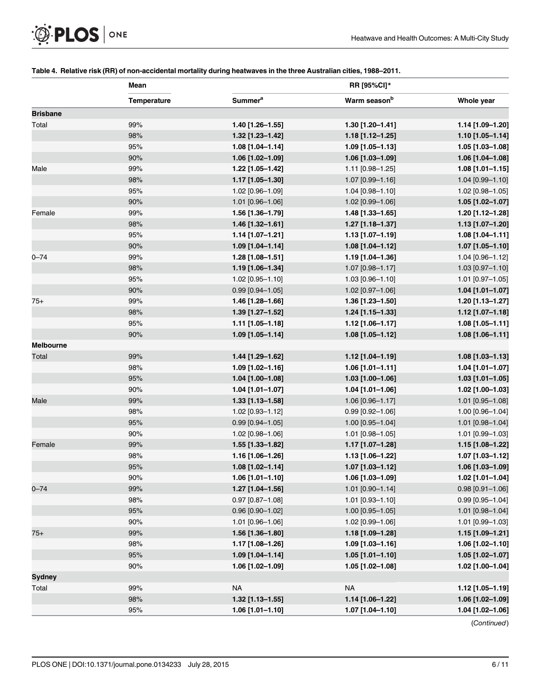<span id="page-5-0"></span>

|                 | Mean        | RR [95%CI]*               |                          |                    |  |  |  |
|-----------------|-------------|---------------------------|--------------------------|--------------------|--|--|--|
|                 | Temperature | <b>Summer<sup>a</sup></b> | Warm season <sup>b</sup> | Whole year         |  |  |  |
| <b>Brisbane</b> |             |                           |                          |                    |  |  |  |
| Total           | 99%         | 1.40 [1.26-1.55]          | 1.30 [1.20-1.41]         | 1.14 [1.09-1.20]   |  |  |  |
|                 | 98%         | 1.32 [1.23-1.42]          | 1.18 [1.12-1.25]         | 1.10 [1.05-1.14]   |  |  |  |
|                 | 95%         | 1.08 [1.04-1.14]          | 1.09 [1.05-1.13]         | 1.05 [1.03-1.08]   |  |  |  |
|                 | 90%         | 1.06 [1.02-1.09]          | 1.06 [1.03-1.09]         | 1.06 [1.04-1.08]   |  |  |  |
| Male            | 99%         | 1.22 [1.05-1.42]          | 1.11 [0.98-1.25]         | 1.08 [1.01-1.15]   |  |  |  |
|                 | 98%         | 1.17 [1.05-1.30]          | 1.07 [0.99-1.16]         | 1.04 [0.99-1.10]   |  |  |  |
|                 | 95%         | 1.02 [0.96-1.09]          | 1.04 [0.98-1.10]         | 1.02 [0.98-1.05]   |  |  |  |
|                 | 90%         | 1.01 [0.96-1.06]          | 1.02 [0.99-1.06]         | 1.05 [1.02-1.07]   |  |  |  |
| Female          | 99%         | 1.56 [1.36-1.79]          | 1.48 [1.33-1.65]         | 1.20 [1.12-1.28]   |  |  |  |
|                 | 98%         | 1.46 [1.32-1.61]          | 1.27 [1.18-1.37]         | 1.13 [1.07-1.20]   |  |  |  |
|                 | 95%         | 1.14 [1.07-1.21]          | 1.13 [1.07-1.19]         | 1.08 [1.04-1.11]   |  |  |  |
|                 | 90%         | 1.09 [1.04-1.14]          | 1.08 [1.04-1.12]         | 1.07 [1.05-1.10]   |  |  |  |
| $0 - 74$        | 99%         | $1.28$ [1.08-1.51]        | 1.19 [1.04-1.36]         | 1.04 [0.96-1.12]   |  |  |  |
|                 | 98%         | 1.19 [1.06-1.34]          | 1.07 [0.98-1.17]         | 1.03 [0.97-1.10]   |  |  |  |
|                 | 95%         | 1.02 [0.95-1.10]          | 1.03 [0.96-1.10]         | 1.01 [0.97-1.05]   |  |  |  |
|                 | 90%         | $0.99$ [0.94-1.05]        | 1.02 [0.97-1.06]         | 1.04 [1.01-1.07]   |  |  |  |
| 75+             | 99%         | 1.46 [1.28-1.66]          | 1.36 [1.23-1.50]         | 1.20 [1.13-1.27]   |  |  |  |
|                 | 98%         | 1.39 [1.27-1.52]          | 1.24 [1.15-1.33]         | 1.12 [1.07-1.18]   |  |  |  |
|                 | 95%         | 1.11 [1.05-1.18]          | 1.12 [1.06-1.17]         | $1.08$ [1.05-1.11] |  |  |  |
|                 | 90%         | 1.09 [1.05-1.14]          | $1.08$ [1.05-1.12]       | 1.08 [1.06-1.11]   |  |  |  |
| Melbourne       |             |                           |                          |                    |  |  |  |
| Total           | 99%         | 1.44 [1.29-1.62]          | 1.12 [1.04-1.19]         | 1.08 [1.03-1.13]   |  |  |  |
|                 | 98%         | 1.09 [1.02-1.16]          | 1.06 [1.01-1.11]         | 1.04 [1.01-1.07]   |  |  |  |
|                 | 95%         | 1.04 [1.00-1.08]          | 1.03 [1.00-1.06]         | 1.03 [1.01-1.05]   |  |  |  |
|                 | 90%         | 1.04 [1.01-1.07]          | 1.04 [1.01-1.06]         | 1.02 [1.00-1.03]   |  |  |  |
| Male            | 99%         | 1.33 [1.13-1.58]          | 1.06 [0.96-1.17]         | 1.01 [0.95-1.08]   |  |  |  |
|                 | 98%         | 1.02 [0.93-1.12]          | $0.99$ [0.92-1.06]       | 1.00 [0.96-1.04]   |  |  |  |
|                 | 95%         | $0.99$ [0.94-1.05]        | 1.00 [0.95-1.04]         | 1.01 [0.98-1.04]   |  |  |  |
|                 | 90%         | 1.02 [0.98-1.06]          | 1.01 [0.98-1.05]         | 1.01 [0.99-1.03]   |  |  |  |
| Female          | 99%         | 1.55 [1.33-1.82]          | 1.17 [1.07-1.28]         | 1.15 [1.08-1.22]   |  |  |  |
|                 | 98%         | 1.16 [1.06-1.26]          | 1.13 [1.06-1.22]         | 1.07 [1.03-1.12]   |  |  |  |
|                 | 95%         | 1.08 [1.02-1.14]          | 1.07 [1.03-1.12]         | 1.06 [1.03-1.09]   |  |  |  |
|                 | 90%         | 1.06 [1.01-1.10]          | 1.06 [1.03-1.09]         | 1.02 [1.01-1.04]   |  |  |  |
| $0 - 74$        | 99%         | 1.27 [1.04-1.56]          | 1.01 [0.90-1.14]         | $0.98$ [0.91-1.06] |  |  |  |
|                 | 98%         | $0.97$ [0.87-1.08]        | 1.01 [0.93-1.10]         | $0.99$ [0.95-1.04] |  |  |  |
|                 | 95%         | $0.96$ [0.90-1.02]        | 1.00 [0.95-1.05]         | 1.01 [0.98-1.04]   |  |  |  |
|                 | 90%         | 1.01 [0.96-1.06]          | 1.02 [0.99-1.06]         | 1.01 [0.99-1.03]   |  |  |  |
| 75+             | 99%         | 1.56 [1.36-1.80]          | 1.18 [1.09-1.28]         | 1.15 [1.09-1.21]   |  |  |  |
|                 | 98%         | 1.17 [1.08-1.26]          | 1.09 [1.03-1.16]         | 1.06 [1.02-1.10]   |  |  |  |
|                 | 95%         | 1.09 [1.04-1.14]          | $1.05$ [1.01-1.10]       | 1.05 [1.02-1.07]   |  |  |  |
|                 | 90%         | 1.06 [1.02-1.09]          | 1.05 [1.02-1.08]         | 1.02 [1.00-1.04]   |  |  |  |
| Sydney          |             |                           |                          |                    |  |  |  |
| Total           | 99%         | <b>NA</b>                 | <b>NA</b>                | 1.12 [1.05-1.19]   |  |  |  |
|                 | 98%         | 1.32 [1.13-1.55]          | 1.14 [1.06-1.22]         | 1.06 [1.02-1.09]   |  |  |  |
|                 | 95%         | $1.06$ [1.01-1.10]        | 1.07 [1.04-1.10]         | 1.04 [1.02-1.06]   |  |  |  |
|                 |             |                           |                          |                    |  |  |  |

#### [Table 4.](#page-2-0) Relative risk (RR) of non-accidental mortality during heatwaves in the three Australian cities, 1988–2011.

(Continued)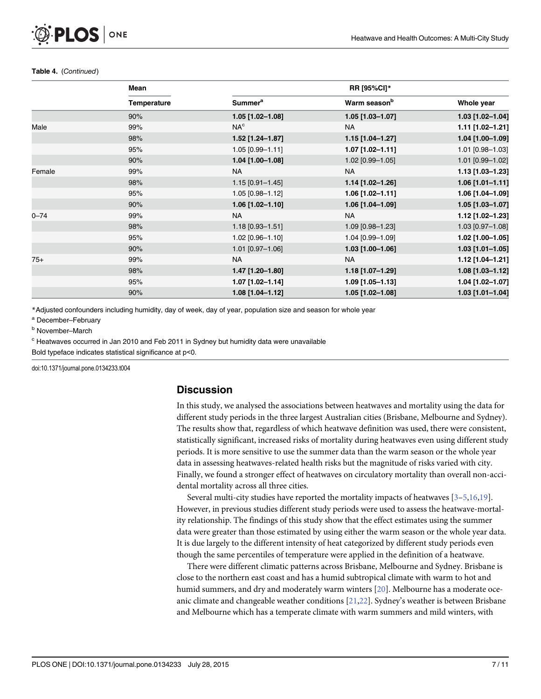#### <span id="page-6-0"></span>Table 4. (Continued)

|          | Mean               |                     | <b>RR [95%CI]*</b>       |                  |  |  |  |
|----------|--------------------|---------------------|--------------------------|------------------|--|--|--|
|          | <b>Temperature</b> | Summer <sup>a</sup> | Warm season <sup>b</sup> | Whole year       |  |  |  |
|          | 90%                | $1.05$ [1.02-1.08]  | $1.05$ [1.03-1.07]       | 1.03 [1.02-1.04] |  |  |  |
| Male     | 99%                | NA <sup>c</sup>     | <b>NA</b>                | 1.11 [1.02-1.21] |  |  |  |
|          | 98%                | 1.52 [1.24-1.87]    | 1.15 [1.04-1.27]         | 1.04 [1.00-1.09] |  |  |  |
|          | 95%                | $1.05$ [0.99-1.11]  | $1.07$ [1.02-1.11]       | 1.01 [0.98-1.03] |  |  |  |
|          | 90%                | 1.04 [1.00-1.08]    | 1.02 [0.99-1.05]         | 1.01 [0.99-1.02] |  |  |  |
| Female   | 99%                | <b>NA</b>           | <b>NA</b>                | 1.13 [1.03-1.23] |  |  |  |
|          | 98%                | $1.15$ [0.91-1.45]  | 1.14 [1.02-1.26]         | 1.06 [1.01-1.11] |  |  |  |
|          | 95%                | 1.05 [0.98-1.12]    | $1.06$ [1.02-1.11]       | 1.06 [1.04-1.09] |  |  |  |
|          | 90%                | $1.06$ [1.02-1.10]  | 1.06 [1.04-1.09]         | 1.05 [1.03-1.07] |  |  |  |
| $0 - 74$ | 99%                | <b>NA</b>           | <b>NA</b>                | 1.12 [1.02-1.23] |  |  |  |
|          | 98%                | 1.18 [0.93-1.51]    | 1.09 [0.98-1.23]         | 1.03 [0.97-1.08] |  |  |  |
|          | 95%                | 1.02 [0.96-1.10]    | 1.04 [0.99-1.09]         | 1.02 [1.00-1.05] |  |  |  |
|          | 90%                | $1.01$ [0.97-1.06]  | $1.03$ [1.00-1.06]       | 1.03 [1.01-1.05] |  |  |  |
| $75+$    | 99%                | <b>NA</b>           | <b>NA</b>                | 1.12 [1.04-1.21] |  |  |  |
|          | 98%                | 1.47 [1.20-1.80]    | 1.18 [1.07-1.29]         | 1.08 [1.03-1.12] |  |  |  |
|          | 95%                | $1.07$ [1.02-1.14]  | 1.09 [1.05-1.13]         | 1.04 [1.02-1.07] |  |  |  |
|          | 90%                | $1.08$ [1.04-1.12]  | 1.05 [1.02-1.08]         | 1.03 [1.01-1.04] |  |  |  |

\*Adjusted confounders including humidity, day of week, day of year, population size and season for whole year

<sup>a</sup> December–February

<sup>c</sup> Heatwaves occurred in Jan 2010 and Feb 2011 in Sydney but humidity data were unavailable

Bold typeface indicates statistical significance at p<0.

doi:10.1371/journal.pone.0134233.t004

#### **Discussion**

In this study, we analysed the associations between heatwaves and mortality using the data for different study periods in the three largest Australian cities (Brisbane, Melbourne and Sydney). The results show that, regardless of which heatwave definition was used, there were consistent, statistically significant, increased risks of mortality during heatwaves even using different study periods. It is more sensitive to use the summer data than the warm season or the whole year data in assessing heatwaves-related health risks but the magnitude of risks varied with city. Finally, we found a stronger effect of heatwaves on circulatory mortality than overall non-accidental mortality across all three cities.

Several multi-city studies have reported the mortality impacts of heatwaves  $[3-5,16,19]$  $[3-5,16,19]$  $[3-5,16,19]$  $[3-5,16,19]$  $[3-5,16,19]$ . However, in previous studies different study periods were used to assess the heatwave-mortality relationship. The findings of this study show that the effect estimates using the summer data were greater than those estimated by using either the warm season or the whole year data. It is due largely to the different intensity of heat categorized by different study periods even though the same percentiles of temperature were applied in the definition of a heatwave.

There were different climatic patterns across Brisbane, Melbourne and Sydney. Brisbane is close to the northern east coast and has a humid subtropical climate with warm to hot and humid summers, and dry and moderately warm winters [[20](#page-10-0)]. Melbourne has a moderate oce-anic climate and changeable weather conditions [[21,22](#page-10-0)]. Sydney's weather is between Brisbane and Melbourne which has a temperate climate with warm summers and mild winters, with

**b** November-March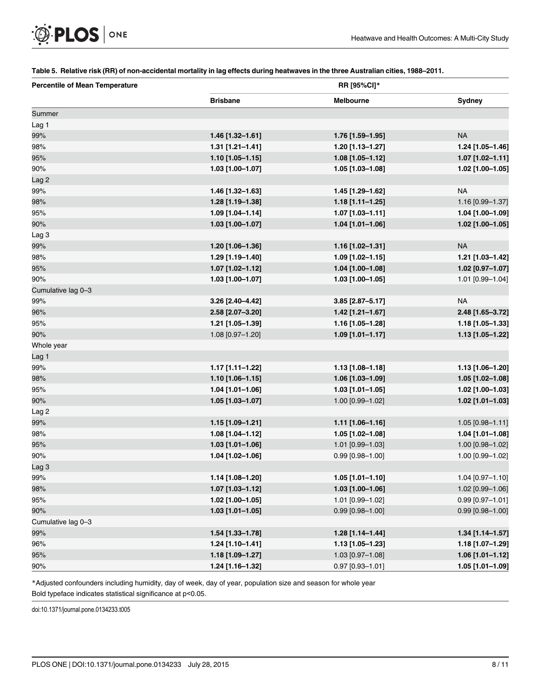#### [Table 5.](#page-4-0) Relative risk (RR) of non-accidental mortality in lag effects during heatwaves in the three Australian cities, 1988–2011.

| <b>Percentile of Mean Temperature</b> | RR [95%Cl]*        |                    |                    |  |  |  |
|---------------------------------------|--------------------|--------------------|--------------------|--|--|--|
|                                       | <b>Brisbane</b>    | <b>Melbourne</b>   | Sydney             |  |  |  |
| Summer                                |                    |                    |                    |  |  |  |
| Lag 1                                 |                    |                    |                    |  |  |  |
| 99%                                   | 1.46 [1.32-1.61]   | 1.76 [1.59-1.95]   | <b>NA</b>          |  |  |  |
| 98%                                   | $1.31$ [1.21-1.41] | 1.20 [1.13-1.27]   | 1.24 [1.05-1.46]   |  |  |  |
| 95%                                   | 1.10 [1.05-1.15]   | 1.08 [1.05-1.12]   | 1.07 [1.02-1.11]   |  |  |  |
| 90%                                   | 1.03 [1.00-1.07]   | 1.05 [1.03-1.08]   | 1.02 [1.00-1.05]   |  |  |  |
| Lag 2                                 |                    |                    |                    |  |  |  |
| 99%                                   | 1.46 [1.32-1.63]   | 1.45 [1.29-1.62]   | <b>NA</b>          |  |  |  |
| 98%                                   | 1.28 [1.19-1.38]   | 1.18 [1.11-1.25]   | 1.16 [0.99-1.37]   |  |  |  |
| 95%                                   | 1.09 [1.04-1.14]   | 1.07 [1.03-1.11]   | 1.04 [1.00-1.09]   |  |  |  |
| 90%                                   | 1.03 [1.00-1.07]   | 1.04 [1.01-1.06]   | 1.02 [1.00-1.05]   |  |  |  |
| Lag <sub>3</sub>                      |                    |                    |                    |  |  |  |
| 99%                                   | 1.20 [1.06-1.36]   | 1.16 [1.02-1.31]   | <b>NA</b>          |  |  |  |
| 98%                                   | 1.29 [1.19-1.40]   | 1.09 [1.02-1.15]   | 1.21 [1.03-1.42]   |  |  |  |
| 95%                                   | 1.07 [1.02-1.12]   | 1.04 [1.00-1.08]   | 1.02 [0.97-1.07]   |  |  |  |
| 90%                                   | 1.03 [1.00-1.07]   | $1.03$ [1.00-1.05] | 1.01 [0.99-1.04]   |  |  |  |
| Cumulative lag 0-3                    |                    |                    |                    |  |  |  |
| 99%                                   | 3.26 [2.40-4.42]   | 3.85 [2.87-5.17]   | <b>NA</b>          |  |  |  |
| 96%                                   | 2.58 [2.07-3.20]   | 1.42 [1.21-1.67]   | 2.48 [1.65-3.72]   |  |  |  |
| 95%                                   | 1.21 [1.05-1.39]   | 1.16 [1.05-1.28]   | 1.18 [1.05-1.33]   |  |  |  |
| 90%                                   | 1.08 [0.97-1.20]   | $1.09$ [1.01-1.17] | 1.13 [1.05-1.22]   |  |  |  |
| Whole year                            |                    |                    |                    |  |  |  |
| Lag 1                                 |                    |                    |                    |  |  |  |
| 99%                                   | 1.17 [1.11-1.22]   | 1.13 [1.08-1.18]   | 1.13 [1.06-1.20]   |  |  |  |
| 98%                                   | 1.10 [1.06-1.15]   | 1.06 [1.03-1.09]   | 1.05 [1.02-1.08]   |  |  |  |
| 95%                                   | 1.04 [1.01-1.06]   | 1.03 [1.01-1.05]   | 1.02 [1.00-1.03]   |  |  |  |
| 90%                                   | 1.05 [1.03-1.07]   | 1.00 [0.99-1.02]   | 1.02 [1.01-1.03]   |  |  |  |
| Lag 2                                 |                    |                    |                    |  |  |  |
| 99%                                   | 1.15 [1.09-1.21]   | 1.11 [1.06-1.16]   | 1.05 [0.98-1.11]   |  |  |  |
| 98%                                   | 1.08 [1.04-1.12]   | 1.05 [1.02-1.08]   | 1.04 [1.01-1.08]   |  |  |  |
| 95%                                   | 1.03 [1.01-1.06]   | 1.01 [0.99-1.03]   | 1.00 [0.98-1.02]   |  |  |  |
| 90%                                   | 1.04 [1.02-1.06]   | $0.99$ [0.98-1.00] | 1.00 [0.99-1.02]   |  |  |  |
| Lag 3                                 |                    |                    |                    |  |  |  |
| 99%                                   | 1.14 [1.08-1.20]   | $1.05$ [1.01-1.10] | 1.04 [0.97-1.10]   |  |  |  |
| 98%                                   | $1.07$ [1.03-1.12] | 1.03 [1.00-1.06]   | 1.02 [0.99-1.06]   |  |  |  |
| 95%                                   | 1.02 [1.00-1.05]   | 1.01 [0.99-1.02]   | $0.99$ [0.97-1.01] |  |  |  |
| 90%                                   | $1.03$ [1.01-1.05] | $0.99$ [0.98-1.00] | $0.99$ [0.98-1.00] |  |  |  |
| Cumulative lag 0-3                    |                    |                    |                    |  |  |  |
| 99%                                   | 1.54 [1.33-1.78]   | 1.28 [1.14-1.44]   | $1.34$ [1.14-1.57] |  |  |  |
| 96%                                   | 1.24 [1.10-1.41]   | 1.13 [1.05-1.23]   | 1.18 [1.07-1.29]   |  |  |  |
| 95%                                   | 1.18 [1.09-1.27]   | 1.03 [0.97-1.08]   | 1.06 [1.01-1.12]   |  |  |  |
| 90%                                   | 1.24 [1.16-1.32]   | $0.97$ [0.93-1.01] | 1.05 [1.01-1.09]   |  |  |  |

\*Adjusted confounders including humidity, day of week, day of year, population size and season for whole year

Bold typeface indicates statistical significance at p<0.05.

doi:10.1371/journal.pone.0134233.t005

<span id="page-7-0"></span>**OF PLOS** ONE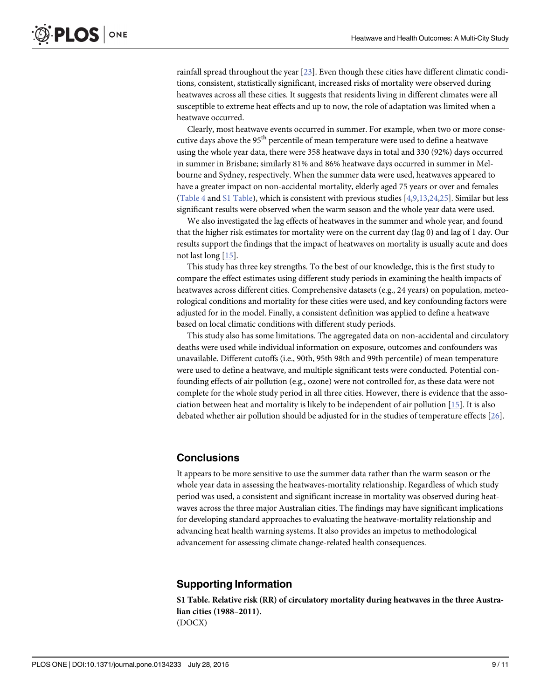<span id="page-8-0"></span>rainfall spread throughout the year [[23](#page-10-0)]. Even though these cities have different climatic conditions, consistent, statistically significant, increased risks of mortality were observed during heatwaves across all these cities. It suggests that residents living in different climates were all susceptible to extreme heat effects and up to now, the role of adaptation was limited when a heatwave occurred.

Clearly, most heatwave events occurred in summer. For example, when two or more consecutive days above the  $95<sup>th</sup>$  percentile of mean temperature were used to define a heatwave using the whole year data, there were 358 heatwave days in total and 330 (92%) days occurred in summer in Brisbane; similarly 81% and 86% heatwave days occurred in summer in Melbourne and Sydney, respectively. When the summer data were used, heatwaves appeared to have a greater impact on non-accidental mortality, elderly aged 75 years or over and females [\(Table 4](#page-5-0) and S1 Table), which is consistent with previous studies [\[4,9,13](#page-9-0)[,24,25\]](#page-10-0). Similar but less significant results were observed when the warm season and the whole year data were used.

We also investigated the lag effects of heatwaves in the summer and whole year, and found that the higher risk estimates for mortality were on the current day (lag 0) and lag of 1 day. Our results support the findings that the impact of heatwaves on mortality is usually acute and does not last long [[15](#page-9-0)].

This study has three key strengths. To the best of our knowledge, this is the first study to compare the effect estimates using different study periods in examining the health impacts of heatwaves across different cities. Comprehensive datasets (e.g., 24 years) on population, meteorological conditions and mortality for these cities were used, and key confounding factors were adjusted for in the model. Finally, a consistent definition was applied to define a heatwave based on local climatic conditions with different study periods.

This study also has some limitations. The aggregated data on non-accidental and circulatory deaths were used while individual information on exposure, outcomes and confounders was unavailable. Different cutoffs (i.e., 90th, 95th 98th and 99th percentile) of mean temperature were used to define a heatwave, and multiple significant tests were conducted. Potential confounding effects of air pollution (e.g., ozone) were not controlled for, as these data were not complete for the whole study period in all three cities. However, there is evidence that the association between heat and mortality is likely to be independent of air pollution [[15](#page-9-0)]. It is also debated whether air pollution should be adjusted for in the studies of temperature effects [[26](#page-10-0)].

#### **Conclusions**

It appears to be more sensitive to use the summer data rather than the warm season or the whole year data in assessing the heatwaves-mortality relationship. Regardless of which study period was used, a consistent and significant increase in mortality was observed during heatwaves across the three major Australian cities. The findings may have significant implications for developing standard approaches to evaluating the heatwave-mortality relationship and advancing heat health warning systems. It also provides an impetus to methodological advancement for assessing climate change-related health consequences.

#### Supporting Information

[S1 Table](http://www.plosone.org/article/fetchSingleRepresentation.action?uri=info:doi/10.1371/journal.pone.0134233.s001). Relative risk (RR) of circulatory mortality during heatwaves in the three Australian cities (1988–2011). (DOCX)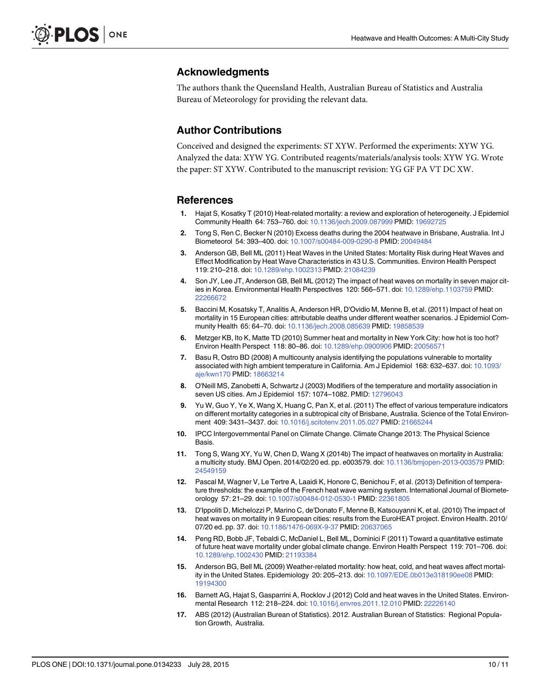#### <span id="page-9-0"></span>Acknowledgments

The authors thank the Queensland Health, Australian Bureau of Statistics and Australia Bureau of Meteorology for providing the relevant data.

#### Author Contributions

Conceived and designed the experiments: ST XYW. Performed the experiments: XYW YG. Analyzed the data: XYW YG. Contributed reagents/materials/analysis tools: XYW YG. Wrote the paper: ST XYW. Contributed to the manuscript revision: YG GF PA VT DC XW.

#### References

- [1.](#page-1-0) Hajat S, Kosatky T (2010) Heat-related mortality: a review and exploration of heterogeneity. J Epidemiol Community Health 64: 753–760. doi: [10.1136/jech.2009.087999](http://dx.doi.org/10.1136/jech.2009.087999) PMID: [19692725](http://www.ncbi.nlm.nih.gov/pubmed/19692725)
- [2.](#page-1-0) Tong S, Ren C, Becker N (2010) Excess deaths during the 2004 heatwave in Brisbane, Australia. Int J Biometeorol 54: 393–400. doi: [10.1007/s00484-009-0290-8](http://dx.doi.org/10.1007/s00484-009-0290-8) PMID: [20049484](http://www.ncbi.nlm.nih.gov/pubmed/20049484)
- [3.](#page-1-0) Anderson GB, Bell ML (2011) Heat Waves in the United States: Mortality Risk during Heat Waves and Effect Modification by Heat Wave Characteristics in 43 U.S. Communities. Environ Health Perspect 119: 210–218. doi: [10.1289/ehp.1002313](http://dx.doi.org/10.1289/ehp.1002313) PMID: [21084239](http://www.ncbi.nlm.nih.gov/pubmed/21084239)
- [4.](#page-1-0) Son JY, Lee JT, Anderson GB, Bell ML (2012) The impact of heat waves on mortality in seven major cities in Korea. Environmental Health Perspectives 120: 566–571. doi: [10.1289/ehp.1103759](http://dx.doi.org/10.1289/ehp.1103759) PMID: [22266672](http://www.ncbi.nlm.nih.gov/pubmed/22266672)
- [5.](#page-1-0) Baccini M, Kosatsky T, Analitis A, Anderson HR, D'Ovidio M, Menne B, et al. (2011) Impact of heat on mortality in 15 European cities: attributable deaths under different weather scenarios. J Epidemiol Community Health 65: 64–70. doi: [10.1136/jech.2008.085639](http://dx.doi.org/10.1136/jech.2008.085639) PMID: [19858539](http://www.ncbi.nlm.nih.gov/pubmed/19858539)
- 6. Metzger KB, Ito K, Matte TD (2010) Summer heat and mortality in New York City: how hot is too hot? Environ Health Perspect 118: 80–86. doi: [10.1289/ehp.0900906](http://dx.doi.org/10.1289/ehp.0900906) PMID: [20056571](http://www.ncbi.nlm.nih.gov/pubmed/20056571)
- 7. Basu R, Ostro BD (2008) A multicounty analysis identifying the populations vulnerable to mortality associated with high ambient temperature in California. Am J Epidemiol 168: 632–637. doi: [10.1093/](http://dx.doi.org/10.1093/aje/kwn170) [aje/kwn170](http://dx.doi.org/10.1093/aje/kwn170) PMID: [18663214](http://www.ncbi.nlm.nih.gov/pubmed/18663214)
- 8. O'Neill MS, Zanobetti A, Schwartz J (2003) Modifiers of the temperature and mortality association in seven US cities. Am J Epidemiol 157: 1074–1082. PMID: [12796043](http://www.ncbi.nlm.nih.gov/pubmed/12796043)
- [9.](#page-1-0) Yu W, Guo Y, Ye X, Wang X, Huang C, Pan X, et al. (2011) The effect of various temperature indicators on different mortality categories in a subtropical city of Brisbane, Australia. Science of the Total Environment 409: 3431–3437. doi: [10.1016/j.scitotenv.2011.05.027](http://dx.doi.org/10.1016/j.scitotenv.2011.05.027) PMID: [21665244](http://www.ncbi.nlm.nih.gov/pubmed/21665244)
- [10.](#page-1-0) IPCC Intergovernmental Panel on Climate Change. Climate Change 2013: The Physical Science Basis.
- [11.](#page-1-0) Tong S, Wang XY, Yu W, Chen D, Wang X (2014b) The impact of heatwaves on mortality in Australia: a multicity study. BMJ Open. 2014/02/20 ed. pp. e003579. doi: [10.1136/bmjopen-2013-003579](http://dx.doi.org/10.1136/bmjopen-2013-003579) PMID: [24549159](http://www.ncbi.nlm.nih.gov/pubmed/24549159)
- [12.](#page-1-0) Pascal M, Wagner V, Le Tertre A, Laaidi K, Honore C, Benichou F, et al. (2013) Definition of temperature thresholds: the example of the French heat wave warning system. International Journal of Biometeorology 57: 21–29. doi: [10.1007/s00484-012-0530-1](http://dx.doi.org/10.1007/s00484-012-0530-1) PMID: [22361805](http://www.ncbi.nlm.nih.gov/pubmed/22361805)
- [13.](#page-1-0) D'Ippoliti D, Michelozzi P, Marino C, de'Donato F, Menne B, Katsouyanni K, et al. (2010) The impact of heat waves on mortality in 9 European cities: results from the EuroHEAT project. Environ Health. 2010/ 07/20 ed. pp. 37. doi: [10.1186/1476-069X-9-37](http://dx.doi.org/10.1186/1476-069X-9-37) PMID: [20637065](http://www.ncbi.nlm.nih.gov/pubmed/20637065)
- [14.](#page-1-0) Peng RD, Bobb JF, Tebaldi C, McDaniel L, Bell ML, Dominici F (2011) Toward a quantitative estimate of future heat wave mortality under global climate change. Environ Health Perspect 119: 701–706. doi: [10.1289/ehp.1002430](http://dx.doi.org/10.1289/ehp.1002430) PMID: [21193384](http://www.ncbi.nlm.nih.gov/pubmed/21193384)
- [15.](#page-8-0) Anderson BG, Bell ML (2009) Weather-related mortality: how heat, cold, and heat waves affect mortality in the United States. Epidemiology 20: 205–213. doi: [10.1097/EDE.0b013e318190ee08](http://dx.doi.org/10.1097/EDE.0b013e318190ee08) PMID: [19194300](http://www.ncbi.nlm.nih.gov/pubmed/19194300)
- [16.](#page-1-0) Barnett AG, Hajat S, Gasparrini A, Rocklov J (2012) Cold and heat waves in the United States. Environmental Research 112: 218–224. doi: [10.1016/j.envres.2011.12.010](http://dx.doi.org/10.1016/j.envres.2011.12.010) PMID: [22226140](http://www.ncbi.nlm.nih.gov/pubmed/22226140)
- [17.](#page-1-0) ABS (2012) (Australian Burean of Statistics). 2012. Australian Burean of Statistics: Regional Population Growth, Australia.